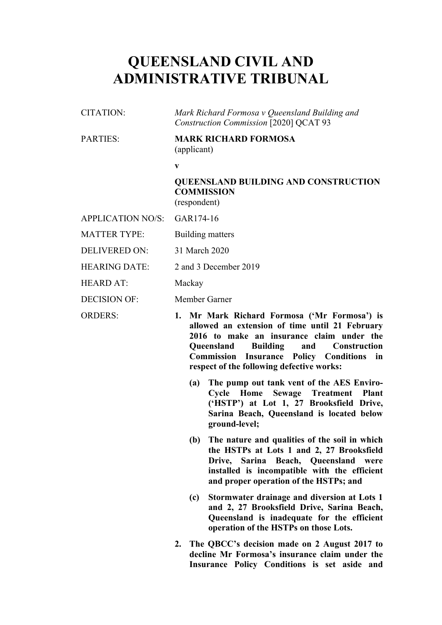# **QUEENSLAND CIVIL AND ADMINISTRATIVE TRIBUNAL**

| CITATION: | Mark Richard Formosa v Queensland Building and |
|-----------|------------------------------------------------|
|           | Construction Commission [2020] QCAT 93         |

# PARTIES: **MARK RICHARD FORMOSA** (applicant)

**v**

## **QUEENSLAND BUILDING AND CONSTRUCTION COMMISSION** (respondent)

APPLICATION NO/S: GAR174-16

MATTER TYPE: Building matters

DELIVERED ON: 31 March 2020

HEARING DATE: 2 and 3 December 2019

HEARD AT: Mackay

DECISION OF: Member Garner

ORDERS: **1. Mr Mark Richard Formosa ('Mr Formosa') is allowed an extension of time until 21 February 2016 to make an insurance claim under the Queensland Building and Construction Commission Insurance Policy Conditions in respect of the following defective works:**

- **(a) The pump out tank vent of the AES Enviro-Cycle Home Sewage Treatment Plant ('HSTP') at Lot 1, 27 Brooksfield Drive, Sarina Beach, Queensland is located below ground-level;**
- **(b) The nature and qualities of the soil in which the HSTPs at Lots 1 and 2, 27 Brooksfield Drive, Sarina Beach, Queensland were installed is incompatible with the efficient and proper operation of the HSTPs; and**
- **(c) Stormwater drainage and diversion at Lots 1 and 2, 27 Brooksfield Drive, Sarina Beach, Queensland is inadequate for the efficient operation of the HSTPs on those Lots.**
- **2. The QBCC's decision made on 2 August 2017 to decline Mr Formosa's insurance claim under the Insurance Policy Conditions is set aside and**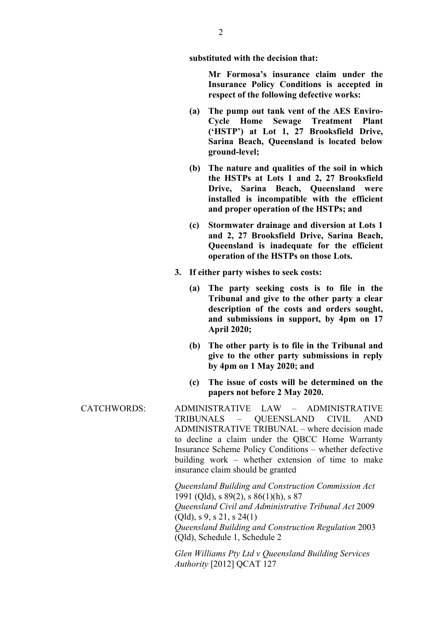**substituted with the decision that:**

**Mr Formosa's insurance claim under the Insurance Policy Conditions is accepted in respect of the following defective works:**

- **(a) The pump out tank vent of the AES Enviro-Cycle Home Sewage Treatment Plant ('HSTP') at Lot 1, 27 Brooksfield Drive, Sarina Beach, Queensland is located below ground-level;**
- **(b) The nature and qualities of the soil in which the HSTPs at Lots 1 and 2, 27 Brooksfield Drive, Sarina Beach, Queensland were installed is incompatible with the efficient and proper operation of the HSTPs; and**
- **(c) Stormwater drainage and diversion at Lots 1 and 2, 27 Brooksfield Drive, Sarina Beach, Queensland is inadequate for the efficient operation of the HSTPs on those Lots.**
- **3. If either party wishes to seek costs:**
	- **(a) The party seeking costs is to file in the Tribunal and give to the other party a clear description of the costs and orders sought, and submissions in support, by 4pm on 17 April 2020;**
	- **(b) The other party is to file in the Tribunal and give to the other party submissions in reply by 4pm on 1 May 2020; and**
	- **(c) The issue of costs will be determined on the papers not before 2 May 2020.**
- CATCHWORDS: ADMINISTRATIVE LAW ADMINISTRATIVE TRIBUNALS – QUEENSLAND CIVIL AND ADMINISTRATIVE TRIBUNAL – where decision made to decline a claim under the QBCC Home Warranty Insurance Scheme Policy Conditions – whether defective building work – whether extension of time to make insurance claim should be granted

*Queensland Building and Construction Commission Act*  1991 (Qld), s 89(2), s 86(1)(h), s 87 *Queensland Civil and Administrative Tribunal Act* 2009 (Qld), s 9, s 21, s 24(1) *Queensland Building and Construction Regulation* 2003 (Qld), Schedule 1, Schedule 2

*Glen Williams Pty Ltd v Queensland Building Services Authority* [2012] QCAT 127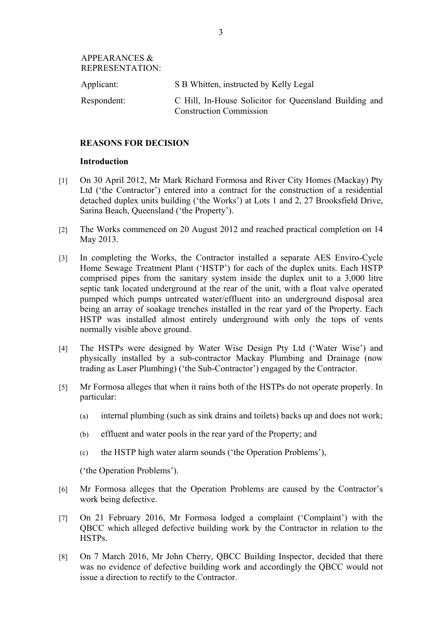APPEARANCES & REPRESENTATION:

| Applicant:  | S B Whitten, instructed by Kelly Legal                                                   |
|-------------|------------------------------------------------------------------------------------------|
| Respondent: | C Hill, In-House Solicitor for Queensland Building and<br><b>Construction Commission</b> |

## **REASONS FOR DECISION**

#### **Introduction**

- [1] On 30 April 2012, Mr Mark Richard Formosa and River City Homes (Mackay) Pty Ltd ('the Contractor') entered into a contract for the construction of a residential detached duplex units building ('the Works') at Lots 1 and 2, 27 Brooksfield Drive, Sarina Beach, Queensland ('the Property').
- [2] The Works commenced on 20 August 2012 and reached practical completion on 14 May 2013.
- [3] In completing the Works, the Contractor installed a separate AES Enviro-Cycle Home Sewage Treatment Plant ('HSTP') for each of the duplex units. Each HSTP comprised pipes from the sanitary system inside the duplex unit to a 3,000 litre septic tank located underground at the rear of the unit, with a float valve operated pumped which pumps untreated water/effluent into an underground disposal area being an array of soakage trenches installed in the rear yard of the Property. Each HSTP was installed almost entirely underground with only the tops of vents normally visible above ground.
- [4] The HSTPs were designed by Water Wise Design Pty Ltd ('Water Wise') and physically installed by a sub-contractor Mackay Plumbing and Drainage (now trading as Laser Plumbing) ('the Sub-Contractor') engaged by the Contractor.
- [5] Mr Formosa alleges that when it rains both of the HSTPs do not operate properly. In particular:
	- (a) internal plumbing (such as sink drains and toilets) backs up and does not work;
	- (b) effluent and water pools in the rear yard of the Property; and
	- (c) the HSTP high water alarm sounds ('the Operation Problems'),

('the Operation Problems').

- [6] Mr Formosa alleges that the Operation Problems are caused by the Contractor's work being defective.
- [7] On 21 February 2016, Mr Formosa lodged a complaint ('Complaint') with the QBCC which alleged defective building work by the Contractor in relation to the HSTPs.
- [8] On 7 March 2016, Mr John Cherry, QBCC Building Inspector, decided that there was no evidence of defective building work and accordingly the QBCC would not issue a direction to rectify to the Contractor.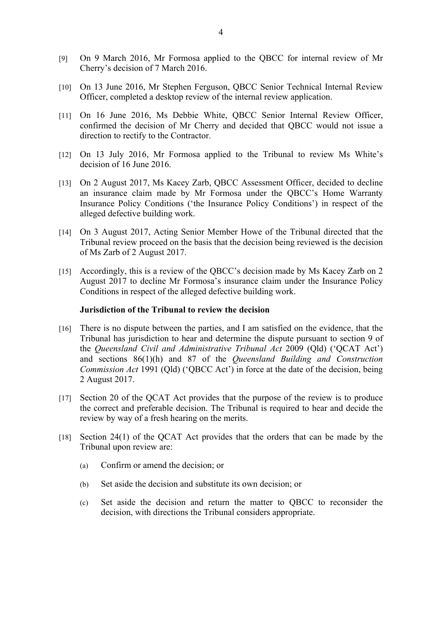- [9] On 9 March 2016, Mr Formosa applied to the QBCC for internal review of Mr Cherry's decision of 7 March 2016.
- [10] On 13 June 2016, Mr Stephen Ferguson, QBCC Senior Technical Internal Review Officer, completed a desktop review of the internal review application.
- [11] On 16 June 2016, Ms Debbie White, QBCC Senior Internal Review Officer, confirmed the decision of Mr Cherry and decided that QBCC would not issue a direction to rectify to the Contractor.
- [12] On 13 July 2016, Mr Formosa applied to the Tribunal to review Ms White's decision of 16 June 2016.
- [13] On 2 August 2017, Ms Kacey Zarb, QBCC Assessment Officer, decided to decline an insurance claim made by Mr Formosa under the QBCC's Home Warranty Insurance Policy Conditions ('the Insurance Policy Conditions') in respect of the alleged defective building work.
- [14] On 3 August 2017, Acting Senior Member Howe of the Tribunal directed that the Tribunal review proceed on the basis that the decision being reviewed is the decision of Ms Zarb of 2 August 2017.
- [15] Accordingly, this is a review of the QBCC's decision made by Ms Kacey Zarb on 2 August 2017 to decline Mr Formosa's insurance claim under the Insurance Policy Conditions in respect of the alleged defective building work.

#### **Jurisdiction of the Tribunal to review the decision**

- [16] There is no dispute between the parties, and I am satisfied on the evidence, that the Tribunal has jurisdiction to hear and determine the dispute pursuant to section 9 of the *Queensland Civil and Administrative Tribunal Act* 2009 (Qld) ('QCAT Act') and sections 86(1)(h) and 87 of the *Queensland Building and Construction Commission Act* 1991 (Qld) ('QBCC Act') in force at the date of the decision, being 2 August 2017.
- [17] Section 20 of the QCAT Act provides that the purpose of the review is to produce the correct and preferable decision. The Tribunal is required to hear and decide the review by way of a fresh hearing on the merits.
- [18] Section 24(1) of the QCAT Act provides that the orders that can be made by the Tribunal upon review are:
	- (a) Confirm or amend the decision; or
	- (b) Set aside the decision and substitute its own decision; or
	- (c) Set aside the decision and return the matter to QBCC to reconsider the decision, with directions the Tribunal considers appropriate.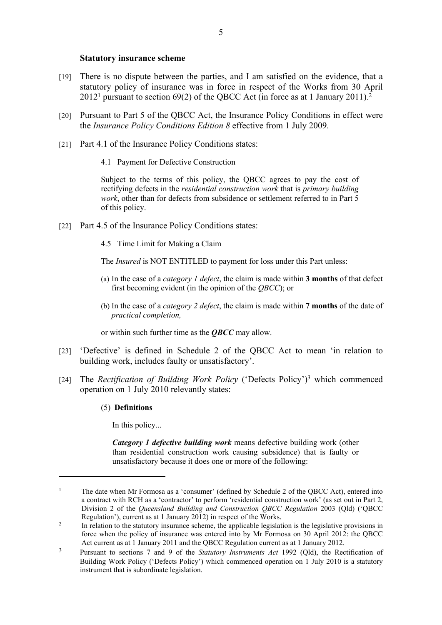#### **Statutory insurance scheme**

- [19] There is no dispute between the parties, and I am satisfied on the evidence, that a statutory policy of insurance was in force in respect of the Works from 30 April  $2012<sup>1</sup>$  pursuant to section 69(2) of the QBCC Act (in force as at 1 January 2011).<sup>2</sup>
- [20] Pursuant to Part 5 of the QBCC Act, the Insurance Policy Conditions in effect were the *Insurance Policy Conditions Edition 8* effective from 1 July 2009.
- [21] Part 4.1 of the Insurance Policy Conditions states:
	- 4.1 Payment for Defective Construction

Subject to the terms of this policy, the QBCC agrees to pay the cost of rectifying defects in the *residential construction work* that is *primary building work*, other than for defects from subsidence or settlement referred to in Part 5 of this policy.

- [22] Part 4.5 of the Insurance Policy Conditions states:
	- 4.5 Time Limit for Making a Claim

The *Insured* is NOT ENTITLED to payment for loss under this Part unless:

- (a) In the case of a *category 1 defect*, the claim is made within **3 months** of that defect first becoming evident (in the opinion of the *QBCC*); or
- (b) In the case of a *category 2 defect*, the claim is made within **7 months** of the date of *practical completion,*

or within such further time as the *QBCC* may allow.

- [23] 'Defective' is defined in Schedule 2 of the QBCC Act to mean 'in relation to building work, includes faulty or unsatisfactory'.
- [24] The *Rectification of Building Work Policy* ('Defects Policy')<sup>3</sup> which commenced operation on 1 July 2010 relevantly states:

#### (5) **Definitions**

In this policy...

*Category 1 defective building work* means defective building work (other than residential construction work causing subsidence) that is faulty or unsatisfactory because it does one or more of the following:

<sup>1</sup> The date when Mr Formosa as a 'consumer' (defined by Schedule 2 of the QBCC Act), entered into a contract with RCH as a 'contractor' to perform 'residential construction work' (as set out in Part 2, Division 2 of the *Queensland Building and Construction QBCC Regulation* 2003 (Qld) ('QBCC Regulation'), current as at 1 January 2012) in respect of the Works.

<sup>2</sup> In relation to the statutory insurance scheme, the applicable legislation is the legislative provisions in force when the policy of insurance was entered into by Mr Formosa on 30 April 2012: the QBCC Act current as at 1 January 2011 and the QBCC Regulation current as at 1 January 2012.

<sup>3</sup> Pursuant to sections 7 and 9 of the *Statutory Instruments Act* 1992 (Qld), the Rectification of Building Work Policy ('Defects Policy') which commenced operation on 1 July 2010 is a statutory instrument that is subordinate legislation.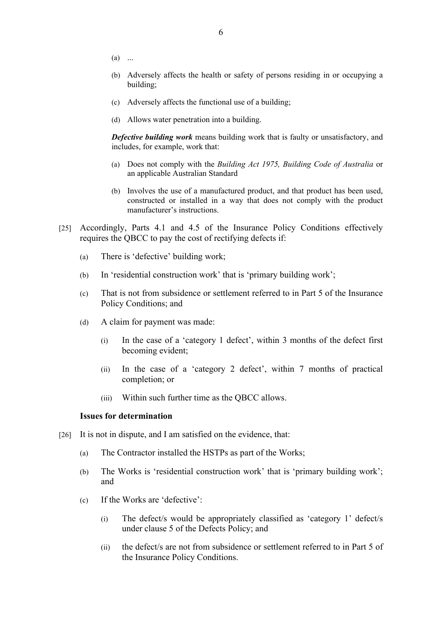- $(a)$  ...
- (b) Adversely affects the health or safety of persons residing in or occupying a building;
- (c) Adversely affects the functional use of a building;
- (d) Allows water penetration into a building.

*Defective building work* means building work that is faulty or unsatisfactory, and includes, for example, work that:

- (a) Does not comply with the *Building Act 1975, Building Code of Australia* or an applicable Australian Standard
- (b) Involves the use of a manufactured product, and that product has been used, constructed or installed in a way that does not comply with the product manufacturer's instructions.
- [25] Accordingly, Parts 4.1 and 4.5 of the Insurance Policy Conditions effectively requires the QBCC to pay the cost of rectifying defects if:
	- (a) There is 'defective' building work;
	- (b) In 'residential construction work' that is 'primary building work';
	- (c) That is not from subsidence or settlement referred to in Part 5 of the Insurance Policy Conditions; and
	- (d) A claim for payment was made:
		- (i) In the case of a 'category 1 defect', within 3 months of the defect first becoming evident;
		- (ii) In the case of a 'category 2 defect', within 7 months of practical completion; or
		- (iii) Within such further time as the QBCC allows.

#### **Issues for determination**

- [26] It is not in dispute, and I am satisfied on the evidence, that:
	- (a) The Contractor installed the HSTPs as part of the Works;
	- (b) The Works is 'residential construction work' that is 'primary building work'; and
	- (c) If the Works are 'defective':
		- (i) The defect/s would be appropriately classified as 'category 1' defect/s under clause 5 of the Defects Policy; and
		- (ii) the defect/s are not from subsidence or settlement referred to in Part 5 of the Insurance Policy Conditions.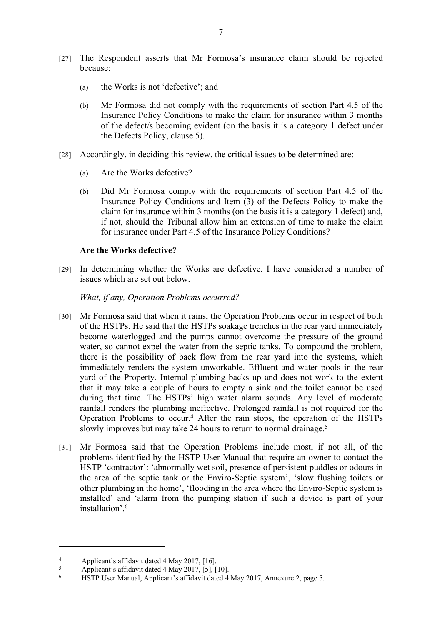- [27] The Respondent asserts that Mr Formosa's insurance claim should be rejected because:
	- (a) the Works is not 'defective'; and
	- (b) Mr Formosa did not comply with the requirements of section Part 4.5 of the Insurance Policy Conditions to make the claim for insurance within 3 months of the defect/s becoming evident (on the basis it is a category 1 defect under the Defects Policy, clause 5).
- [28] Accordingly, in deciding this review, the critical issues to be determined are:
	- (a) Are the Works defective?
	- (b) Did Mr Formosa comply with the requirements of section Part 4.5 of the Insurance Policy Conditions and Item (3) of the Defects Policy to make the claim for insurance within 3 months (on the basis it is a category 1 defect) and, if not, should the Tribunal allow him an extension of time to make the claim for insurance under Part 4.5 of the Insurance Policy Conditions?

# **Are the Works defective?**

[29] In determining whether the Works are defective, I have considered a number of issues which are set out below.

# *What, if any, Operation Problems occurred?*

- [30] Mr Formosa said that when it rains, the Operation Problems occur in respect of both of the HSTPs. He said that the HSTPs soakage trenches in the rear yard immediately become waterlogged and the pumps cannot overcome the pressure of the ground water, so cannot expel the water from the septic tanks. To compound the problem, there is the possibility of back flow from the rear yard into the systems, which immediately renders the system unworkable. Effluent and water pools in the rear yard of the Property. Internal plumbing backs up and does not work to the extent that it may take a couple of hours to empty a sink and the toilet cannot be used during that time. The HSTPs' high water alarm sounds. Any level of moderate rainfall renders the plumbing ineffective. Prolonged rainfall is not required for the Operation Problems to occur.<sup>4</sup> After the rain stops, the operation of the HSTPs slowly improves but may take 24 hours to return to normal drainage.<sup>5</sup>
- [31] Mr Formosa said that the Operation Problems include most, if not all, of the problems identified by the HSTP User Manual that require an owner to contact the HSTP 'contractor': 'abnormally wet soil, presence of persistent puddles or odours in the area of the septic tank or the Enviro-Septic system', 'slow flushing toilets or other plumbing in the home', 'flooding in the area where the Enviro-Septic system is installed' and 'alarm from the pumping station if such a device is part of your installation'.<sup>6</sup>

<sup>4</sup> Applicant's affidavit dated 4 May 2017, [16].

<sup>5</sup> Applicant's affidavit dated 4 May 2017, [5], [10].

<sup>6</sup> HSTP User Manual, Applicant's affidavit dated 4 May 2017, Annexure 2, page 5.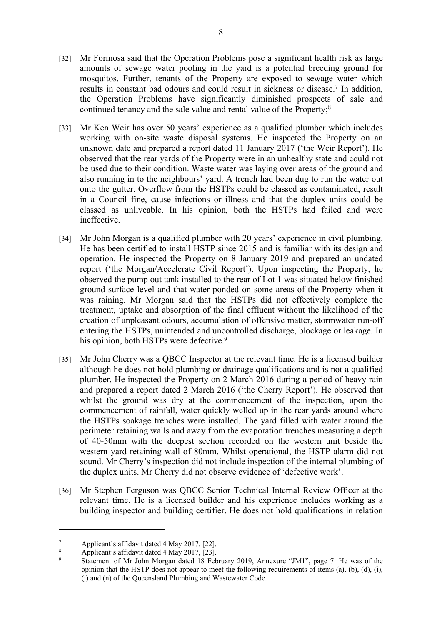- [32] Mr Formosa said that the Operation Problems pose a significant health risk as large amounts of sewage water pooling in the yard is a potential breeding ground for mosquitos. Further, tenants of the Property are exposed to sewage water which results in constant bad odours and could result in sickness or disease.<sup>7</sup> In addition, the Operation Problems have significantly diminished prospects of sale and continued tenancy and the sale value and rental value of the Property;<sup>8</sup>
- [33] Mr Ken Weir has over 50 years' experience as a qualified plumber which includes working with on-site waste disposal systems. He inspected the Property on an unknown date and prepared a report dated 11 January 2017 ('the Weir Report'). He observed that the rear yards of the Property were in an unhealthy state and could not be used due to their condition. Waste water was laying over areas of the ground and also running in to the neighbours' yard. A trench had been dug to run the water out onto the gutter. Overflow from the HSTPs could be classed as contaminated, result in a Council fine, cause infections or illness and that the duplex units could be classed as unliveable. In his opinion, both the HSTPs had failed and were ineffective.
- [34] Mr John Morgan is a qualified plumber with 20 years' experience in civil plumbing. He has been certified to install HSTP since 2015 and is familiar with its design and operation. He inspected the Property on 8 January 2019 and prepared an undated report ('the Morgan/Accelerate Civil Report'). Upon inspecting the Property, he observed the pump out tank installed to the rear of Lot 1 was situated below finished ground surface level and that water ponded on some areas of the Property when it was raining. Mr Morgan said that the HSTPs did not effectively complete the treatment, uptake and absorption of the final effluent without the likelihood of the creation of unpleasant odours, accumulation of offensive matter, stormwater run-off entering the HSTPs, unintended and uncontrolled discharge, blockage or leakage. In his opinion, both HSTPs were defective.<sup>9</sup>
- [35] Mr John Cherry was a QBCC Inspector at the relevant time. He is a licensed builder although he does not hold plumbing or drainage qualifications and is not a qualified plumber. He inspected the Property on 2 March 2016 during a period of heavy rain and prepared a report dated 2 March 2016 ('the Cherry Report'). He observed that whilst the ground was dry at the commencement of the inspection, upon the commencement of rainfall, water quickly welled up in the rear yards around where the HSTPs soakage trenches were installed. The yard filled with water around the perimeter retaining walls and away from the evaporation trenches measuring a depth of 40-50mm with the deepest section recorded on the western unit beside the western yard retaining wall of 80mm. Whilst operational, the HSTP alarm did not sound. Mr Cherry's inspection did not include inspection of the internal plumbing of the duplex units. Mr Cherry did not observe evidence of 'defective work'.
- [36] Mr Stephen Ferguson was QBCC Senior Technical Internal Review Officer at the relevant time. He is a licensed builder and his experience includes working as a building inspector and building certifier. He does not hold qualifications in relation

<sup>7</sup> Applicant's affidavit dated 4 May 2017, [22].

<sup>8</sup> Applicant's affidavit dated 4 May 2017, [23].

 $\alpha$  Statement of Mr John Morgan dated 18 February 2019, Annexure "JM1", page 7: He was of the opinion that the HSTP does not appear to meet the following requirements of items (a), (b), (d), (i), (j) and (n) of the Queensland Plumbing and Wastewater Code.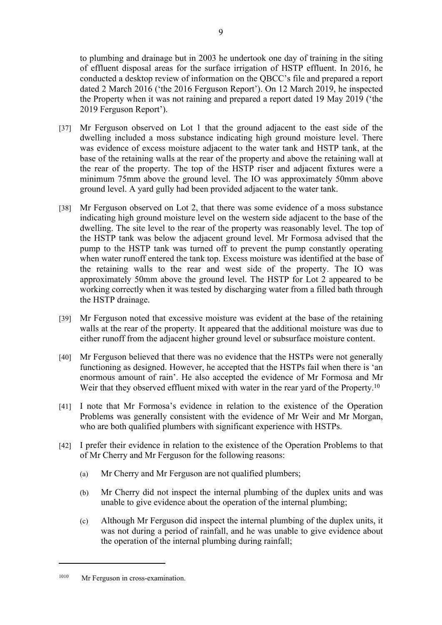to plumbing and drainage but in 2003 he undertook one day of training in the siting of effluent disposal areas for the surface irrigation of HSTP effluent. In 2016, he conducted a desktop review of information on the QBCC's file and prepared a report dated 2 March 2016 ('the 2016 Ferguson Report'). On 12 March 2019, he inspected the Property when it was not raining and prepared a report dated 19 May 2019 ('the 2019 Ferguson Report').

- [37] Mr Ferguson observed on Lot 1 that the ground adjacent to the east side of the dwelling included a moss substance indicating high ground moisture level. There was evidence of excess moisture adjacent to the water tank and HSTP tank, at the base of the retaining walls at the rear of the property and above the retaining wall at the rear of the property. The top of the HSTP riser and adjacent fixtures were a minimum 75mm above the ground level. The IO was approximately 50mm above ground level. A yard gully had been provided adjacent to the water tank.
- [38] Mr Ferguson observed on Lot 2, that there was some evidence of a moss substance indicating high ground moisture level on the western side adjacent to the base of the dwelling. The site level to the rear of the property was reasonably level. The top of the HSTP tank was below the adjacent ground level. Mr Formosa advised that the pump to the HSTP tank was turned off to prevent the pump constantly operating when water runoff entered the tank top. Excess moisture was identified at the base of the retaining walls to the rear and west side of the property. The IO was approximately 50mm above the ground level. The HSTP for Lot 2 appeared to be working correctly when it was tested by discharging water from a filled bath through the HSTP drainage.
- [39] Mr Ferguson noted that excessive moisture was evident at the base of the retaining walls at the rear of the property. It appeared that the additional moisture was due to either runoff from the adjacent higher ground level or subsurface moisture content.
- [40] Mr Ferguson believed that there was no evidence that the HSTPs were not generally functioning as designed. However, he accepted that the HSTPs fail when there is 'an enormous amount of rain'. He also accepted the evidence of Mr Formosa and Mr Weir that they observed effluent mixed with water in the rear yard of the Property.<sup>10</sup>
- [41] I note that Mr Formosa's evidence in relation to the existence of the Operation Problems was generally consistent with the evidence of Mr Weir and Mr Morgan, who are both qualified plumbers with significant experience with HSTPs.
- [42] I prefer their evidence in relation to the existence of the Operation Problems to that of Mr Cherry and Mr Ferguson for the following reasons:
	- (a) Mr Cherry and Mr Ferguson are not qualified plumbers;
	- (b) Mr Cherry did not inspect the internal plumbing of the duplex units and was unable to give evidence about the operation of the internal plumbing;
	- (c) Although Mr Ferguson did inspect the internal plumbing of the duplex units, it was not during a period of rainfall, and he was unable to give evidence about the operation of the internal plumbing during rainfall;

<sup>1010</sup> Mr Ferguson in cross-examination.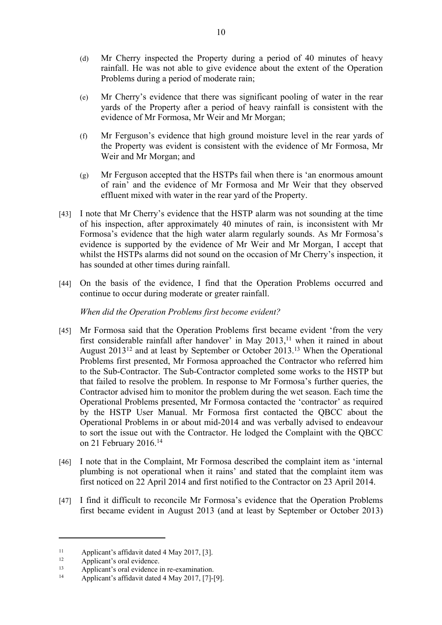- (d) Mr Cherry inspected the Property during a period of 40 minutes of heavy rainfall. He was not able to give evidence about the extent of the Operation Problems during a period of moderate rain;
- (e) Mr Cherry's evidence that there was significant pooling of water in the rear yards of the Property after a period of heavy rainfall is consistent with the evidence of Mr Formosa, Mr Weir and Mr Morgan;
- (f) Mr Ferguson's evidence that high ground moisture level in the rear yards of the Property was evident is consistent with the evidence of Mr Formosa, Mr Weir and Mr Morgan; and
- (g) Mr Ferguson accepted that the HSTPs fail when there is 'an enormous amount of rain' and the evidence of Mr Formosa and Mr Weir that they observed effluent mixed with water in the rear yard of the Property.
- [43] I note that Mr Cherry's evidence that the HSTP alarm was not sounding at the time of his inspection, after approximately 40 minutes of rain, is inconsistent with Mr Formosa's evidence that the high water alarm regularly sounds. As Mr Formosa's evidence is supported by the evidence of Mr Weir and Mr Morgan, I accept that whilst the HSTPs alarms did not sound on the occasion of Mr Cherry's inspection, it has sounded at other times during rainfall.
- [44] On the basis of the evidence, I find that the Operation Problems occurred and continue to occur during moderate or greater rainfall.

*When did the Operation Problems first become evident?*

- [45] Mr Formosa said that the Operation Problems first became evident 'from the very first considerable rainfall after handover' in May  $2013$ ,<sup>11</sup> when it rained in about August 2013<sup>12</sup> and at least by September or October 2013.<sup>13</sup> When the Operational Problems first presented, Mr Formosa approached the Contractor who referred him to the Sub-Contractor. The Sub-Contractor completed some works to the HSTP but that failed to resolve the problem. In response to Mr Formosa's further queries, the Contractor advised him to monitor the problem during the wet season. Each time the Operational Problems presented, Mr Formosa contacted the 'contractor' as required by the HSTP User Manual. Mr Formosa first contacted the QBCC about the Operational Problems in or about mid-2014 and was verbally advised to endeavour to sort the issue out with the Contractor. He lodged the Complaint with the QBCC on 21 February 2016.<sup>14</sup>
- [46] I note that in the Complaint, Mr Formosa described the complaint item as 'internal plumbing is not operational when it rains' and stated that the complaint item was first noticed on 22 April 2014 and first notified to the Contractor on 23 April 2014.
- [47] I find it difficult to reconcile Mr Formosa's evidence that the Operation Problems first became evident in August 2013 (and at least by September or October 2013)

<sup>&</sup>lt;sup>11</sup> Applicant's affidavit dated 4 May 2017, [3].

Applicant's oral evidence.

<sup>&</sup>lt;sup>13</sup> Applicant's oral evidence in re-examination.<br>
<sup>14</sup> Applicant's offidavit dated A May 2017, [7] I

Applicant's affidavit dated 4 May 2017, [7]-[9].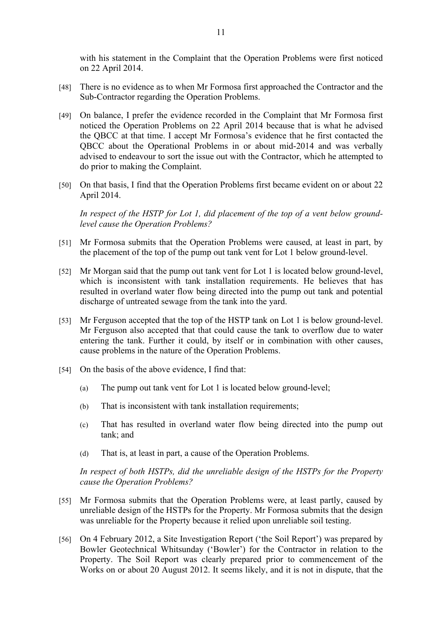with his statement in the Complaint that the Operation Problems were first noticed on 22 April 2014.

- [48] There is no evidence as to when Mr Formosa first approached the Contractor and the Sub-Contractor regarding the Operation Problems.
- [49] On balance, I prefer the evidence recorded in the Complaint that Mr Formosa first noticed the Operation Problems on 22 April 2014 because that is what he advised the QBCC at that time. I accept Mr Formosa's evidence that he first contacted the QBCC about the Operational Problems in or about mid-2014 and was verbally advised to endeavour to sort the issue out with the Contractor, which he attempted to do prior to making the Complaint.
- [50] On that basis, I find that the Operation Problems first became evident on or about 22 April 2014.

*In respect of the HSTP for Lot 1, did placement of the top of a vent below groundlevel cause the Operation Problems?*

- [51] Mr Formosa submits that the Operation Problems were caused, at least in part, by the placement of the top of the pump out tank vent for Lot 1 below ground-level.
- [52] Mr Morgan said that the pump out tank vent for Lot 1 is located below ground-level, which is inconsistent with tank installation requirements. He believes that has resulted in overland water flow being directed into the pump out tank and potential discharge of untreated sewage from the tank into the yard.
- [53] Mr Ferguson accepted that the top of the HSTP tank on Lot 1 is below ground-level. Mr Ferguson also accepted that that could cause the tank to overflow due to water entering the tank. Further it could, by itself or in combination with other causes, cause problems in the nature of the Operation Problems.
- [54] On the basis of the above evidence, I find that:
	- (a) The pump out tank vent for Lot 1 is located below ground-level;
	- (b) That is inconsistent with tank installation requirements;
	- (c) That has resulted in overland water flow being directed into the pump out tank; and
	- (d) That is, at least in part, a cause of the Operation Problems.

*In respect of both HSTPs, did the unreliable design of the HSTPs for the Property cause the Operation Problems?*

- [55] Mr Formosa submits that the Operation Problems were, at least partly, caused by unreliable design of the HSTPs for the Property. Mr Formosa submits that the design was unreliable for the Property because it relied upon unreliable soil testing.
- [56] On 4 February 2012, a Site Investigation Report ('the Soil Report') was prepared by Bowler Geotechnical Whitsunday ('Bowler') for the Contractor in relation to the Property. The Soil Report was clearly prepared prior to commencement of the Works on or about 20 August 2012. It seems likely, and it is not in dispute, that the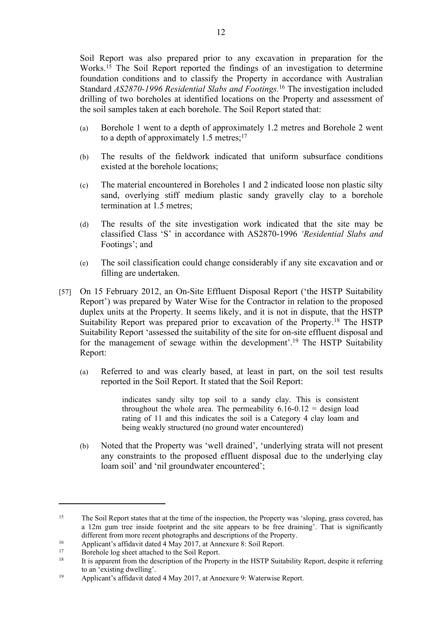Soil Report was also prepared prior to any excavation in preparation for the Works.<sup>15</sup> The Soil Report reported the findings of an investigation to determine foundation conditions and to classify the Property in accordance with Australian Standard *AS2870-1996 Residential Slabs and Footings.*<sup>16</sup> The investigation included drilling of two boreholes at identified locations on the Property and assessment of the soil samples taken at each borehole. The Soil Report stated that:

- (a) Borehole 1 went to a depth of approximately 1.2 metres and Borehole 2 went to a depth of approximately  $1.5$  metres;<sup>17</sup>
- (b) The results of the fieldwork indicated that uniform subsurface conditions existed at the borehole locations;
- (c) The material encountered in Boreholes 1 and 2 indicated loose non plastic silty sand, overlying stiff medium plastic sandy gravelly clay to a borehole termination at 1.5 metres;
- (d) The results of the site investigation work indicated that the site may be classified Class 'S' in accordance with AS2870-1996 *'Residential Slabs and*  Footings'; and
- (e) The soil classification could change considerably if any site excavation and or filling are undertaken.
- [57] On 15 February 2012, an On-Site Effluent Disposal Report ('the HSTP Suitability Report') was prepared by Water Wise for the Contractor in relation to the proposed duplex units at the Property. It seems likely, and it is not in dispute, that the HSTP Suitability Report was prepared prior to excavation of the Property.<sup>18</sup> The HSTP Suitability Report 'assessed the suitability of the site for on-site effluent disposal and for the management of sewage within the development'.<sup>19</sup> The HSTP Suitability Report:
	- (a) Referred to and was clearly based, at least in part, on the soil test results reported in the Soil Report. It stated that the Soil Report:

indicates sandy silty top soil to a sandy clay. This is consistent throughout the whole area. The permeability  $6.16-0.12 =$  design load rating of 11 and this indicates the soil is a Category 4 clay loam and being weakly structured (no ground water encountered)

(b) Noted that the Property was 'well drained', 'underlying strata will not present any constraints to the proposed effluent disposal due to the underlying clay loam soil' and 'nil groundwater encountered';

<sup>&</sup>lt;sup>15</sup> The Soil Report states that at the time of the inspection, the Property was 'sloping, grass covered, has a 12m gum tree inside footprint and the site appears to be free draining'. That is significantly different from more recent photographs and descriptions of the Property.

<sup>16</sup> Applicant's affidavit dated 4 May 2017, at Annexure 8: Soil Report.

<sup>&</sup>lt;sup>17</sup> Borehole log sheet attached to the Soil Report.

<sup>18</sup> It is apparent from the description of the Property in the HSTP Suitability Report, despite it referring to an 'existing dwelling'.

<sup>19</sup> Applicant's affidavit dated 4 May 2017, at Annexure 9: Waterwise Report.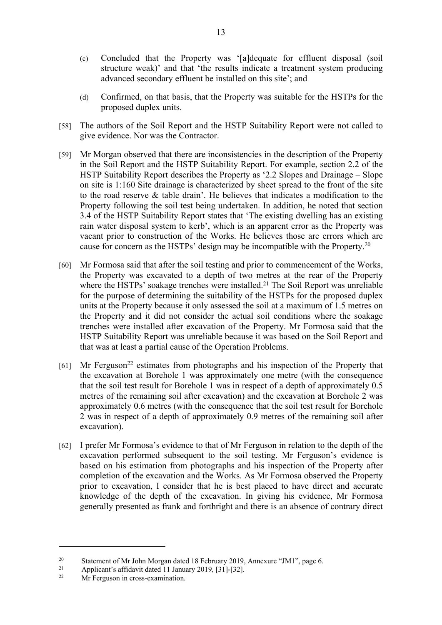- (c) Concluded that the Property was '[a]dequate for effluent disposal (soil structure weak)' and that 'the results indicate a treatment system producing advanced secondary effluent be installed on this site'; and
- (d) Confirmed, on that basis, that the Property was suitable for the HSTPs for the proposed duplex units.
- [58] The authors of the Soil Report and the HSTP Suitability Report were not called to give evidence. Nor was the Contractor.
- [59] Mr Morgan observed that there are inconsistencies in the description of the Property in the Soil Report and the HSTP Suitability Report. For example, section 2.2 of the HSTP Suitability Report describes the Property as '2.2 Slopes and Drainage – Slope on site is 1:160 Site drainage is characterized by sheet spread to the front of the site to the road reserve & table drain'. He believes that indicates a modification to the Property following the soil test being undertaken. In addition, he noted that section 3.4 of the HSTP Suitability Report states that 'The existing dwelling has an existing rain water disposal system to kerb', which is an apparent error as the Property was vacant prior to construction of the Works. He believes those are errors which are cause for concern as the HSTPs' design may be incompatible with the Property.<sup>20</sup>
- [60] Mr Formosa said that after the soil testing and prior to commencement of the Works, the Property was excavated to a depth of two metres at the rear of the Property where the HSTPs' soakage trenches were installed.<sup>21</sup> The Soil Report was unreliable for the purpose of determining the suitability of the HSTPs for the proposed duplex units at the Property because it only assessed the soil at a maximum of 1.5 metres on the Property and it did not consider the actual soil conditions where the soakage trenches were installed after excavation of the Property. Mr Formosa said that the HSTP Suitability Report was unreliable because it was based on the Soil Report and that was at least a partial cause of the Operation Problems.
- $[61]$  Mr Ferguson<sup>22</sup> estimates from photographs and his inspection of the Property that the excavation at Borehole 1 was approximately one metre (with the consequence that the soil test result for Borehole 1 was in respect of a depth of approximately 0.5 metres of the remaining soil after excavation) and the excavation at Borehole 2 was approximately 0.6 metres (with the consequence that the soil test result for Borehole 2 was in respect of a depth of approximately 0.9 metres of the remaining soil after excavation).
- [62] I prefer Mr Formosa's evidence to that of Mr Ferguson in relation to the depth of the excavation performed subsequent to the soil testing. Mr Ferguson's evidence is based on his estimation from photographs and his inspection of the Property after completion of the excavation and the Works. As Mr Formosa observed the Property prior to excavation, I consider that he is best placed to have direct and accurate knowledge of the depth of the excavation. In giving his evidence, Mr Formosa generally presented as frank and forthright and there is an absence of contrary direct

<sup>20</sup> Statement of Mr John Morgan dated 18 February 2019, Annexure "JM1", page 6.

<sup>&</sup>lt;sup>21</sup> Applicant's affidavit dated 11 January 2019, [31]-[32].

Mr Ferguson in cross-examination.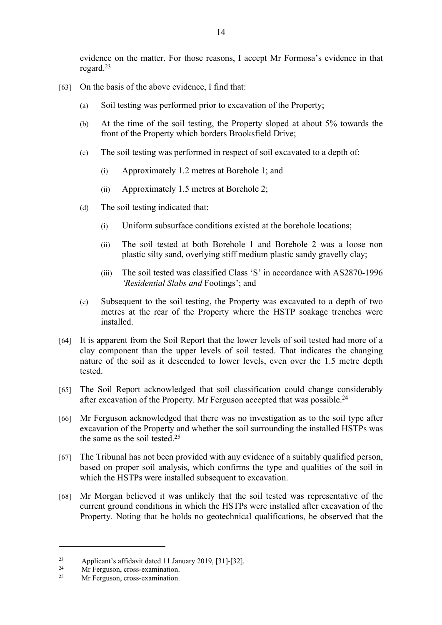evidence on the matter. For those reasons, I accept Mr Formosa's evidence in that regard.<sup>23</sup>

- [63] On the basis of the above evidence, I find that:
	- (a) Soil testing was performed prior to excavation of the Property;
	- (b) At the time of the soil testing, the Property sloped at about 5% towards the front of the Property which borders Brooksfield Drive;
	- (c) The soil testing was performed in respect of soil excavated to a depth of:
		- (i) Approximately 1.2 metres at Borehole 1; and
		- (ii) Approximately 1.5 metres at Borehole 2;
	- (d) The soil testing indicated that:
		- (i) Uniform subsurface conditions existed at the borehole locations;
		- (ii) The soil tested at both Borehole 1 and Borehole 2 was a loose non plastic silty sand, overlying stiff medium plastic sandy gravelly clay;
		- (iii) The soil tested was classified Class 'S' in accordance with AS2870-1996 *'Residential Slabs and* Footings'; and
	- (e) Subsequent to the soil testing, the Property was excavated to a depth of two metres at the rear of the Property where the HSTP soakage trenches were installed.
- [64] It is apparent from the Soil Report that the lower levels of soil tested had more of a clay component than the upper levels of soil tested. That indicates the changing nature of the soil as it descended to lower levels, even over the 1.5 metre depth tested.
- [65] The Soil Report acknowledged that soil classification could change considerably after excavation of the Property. Mr Ferguson accepted that was possible.<sup>24</sup>
- [66] Mr Ferguson acknowledged that there was no investigation as to the soil type after excavation of the Property and whether the soil surrounding the installed HSTPs was the same as the soil tested  $25$
- [67] The Tribunal has not been provided with any evidence of a suitably qualified person, based on proper soil analysis, which confirms the type and qualities of the soil in which the HSTPs were installed subsequent to excavation.
- [68] Mr Morgan believed it was unlikely that the soil tested was representative of the current ground conditions in which the HSTPs were installed after excavation of the Property. Noting that he holds no geotechnical qualifications, he observed that the

<sup>23</sup> Applicant's affidavit dated 11 January 2019, [31]-[32].

<sup>&</sup>lt;sup>24</sup> Mr Ferguson, cross-examination.<br><sup>25</sup> Mr Ferguson, cross-examination.

Mr Ferguson, cross-examination.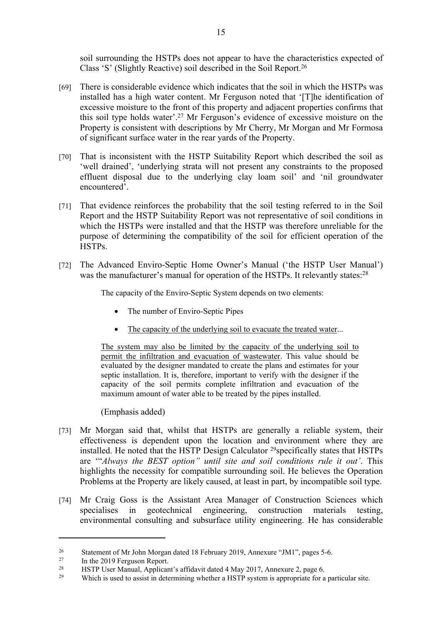soil surrounding the HSTPs does not appear to have the characteristics expected of Class 'S' (Slightly Reactive) soil described in the Soil Report.<sup>26</sup>

- [69] There is considerable evidence which indicates that the soil in which the HSTPs was installed has a high water content. Mr Ferguson noted that '[T]he identification of excessive moisture to the front of this property and adjacent properties confirms that this soil type holds water'.<sup>27</sup> Mr Ferguson's evidence of excessive moisture on the Property is consistent with descriptions by Mr Cherry, Mr Morgan and Mr Formosa of significant surface water in the rear yards of the Property.
- [70] That is inconsistent with the HSTP Suitability Report which described the soil as 'well drained', 'underlying strata will not present any constraints to the proposed effluent disposal due to the underlying clay loam soil' and 'nil groundwater encountered'.
- [71] That evidence reinforces the probability that the soil testing referred to in the Soil Report and the HSTP Suitability Report was not representative of soil conditions in which the HSTPs were installed and that the HSTP was therefore unreliable for the purpose of determining the compatibility of the soil for efficient operation of the HSTPs.
- [72] The Advanced Enviro-Septic Home Owner's Manual ('the HSTP User Manual') was the manufacturer's manual for operation of the HSTPs. It relevantly states:<sup>28</sup>

The capacity of the Enviro-Septic System depends on two elements:

- The number of Enviro-Septic Pipes
- The capacity of the underlying soil to evacuate the treated water...

The system may also be limited by the capacity of the underlying soil to permit the infiltration and evacuation of wastewater. This value should be evaluated by the designer mandated to create the plans and estimates for your septic installation. It is, therefore, important to verify with the designer if the capacity of the soil permits complete infiltration and evacuation of the maximum amount of water able to be treated by the pipes installed.

(Emphasis added)

- [73] Mr Morgan said that, whilst that HSTPs are generally a reliable system, their effectiveness is dependent upon the location and environment where they are installed. He noted that the HSTP Design Calculator <sup>29</sup>specifically states that HSTPs are '"*Always the BEST option" until site and soil conditions rule it out'*. This highlights the necessity for compatible surrounding soil. He believes the Operation Problems at the Property are likely caused, at least in part, by incompatible soil type.
- [74] Mr Craig Goss is the Assistant Area Manager of Construction Sciences which specialises in geotechnical engineering, construction materials testing, environmental consulting and subsurface utility engineering. He has considerable

<sup>&</sup>lt;sup>26</sup> Statement of Mr John Morgan dated 18 February 2019, Annexure "JM1", pages 5-6.

In the 2019 Ferguson Report.

<sup>&</sup>lt;sup>28</sup> HSTP User Manual, Applicant's affidavit dated 4 May 2017, Annexure 2, page 6.<br>Which is used to assist in determining whether a HSTP system is appropriate for a

Which is used to assist in determining whether a HSTP system is appropriate for a particular site.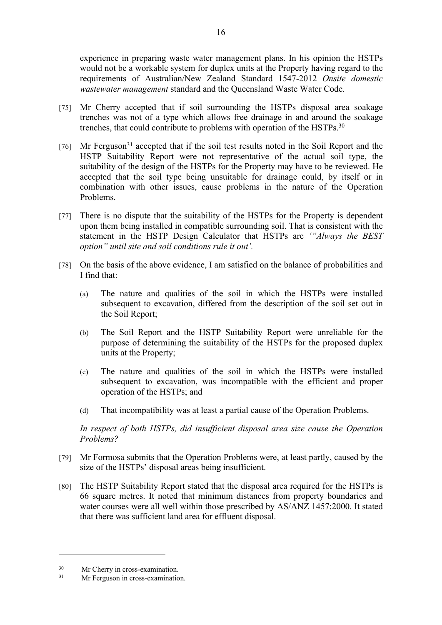experience in preparing waste water management plans. In his opinion the HSTPs would not be a workable system for duplex units at the Property having regard to the requirements of Australian/New Zealand Standard 1547-2012 *Onsite domestic wastewater management* standard and the Queensland Waste Water Code.

- [75] Mr Cherry accepted that if soil surrounding the HSTPs disposal area soakage trenches was not of a type which allows free drainage in and around the soakage trenches, that could contribute to problems with operation of the HSTPs.<sup>30</sup>
- [76] Mr Ferguson<sup>31</sup> accepted that if the soil test results noted in the Soil Report and the HSTP Suitability Report were not representative of the actual soil type, the suitability of the design of the HSTPs for the Property may have to be reviewed. He accepted that the soil type being unsuitable for drainage could, by itself or in combination with other issues, cause problems in the nature of the Operation Problems.
- [77] There is no dispute that the suitability of the HSTPs for the Property is dependent upon them being installed in compatible surrounding soil. That is consistent with the statement in the HSTP Design Calculator that HSTPs are *'"Always the BEST option" until site and soil conditions rule it out'.*
- [78] On the basis of the above evidence, I am satisfied on the balance of probabilities and I find that:
	- (a) The nature and qualities of the soil in which the HSTPs were installed subsequent to excavation, differed from the description of the soil set out in the Soil Report;
	- (b) The Soil Report and the HSTP Suitability Report were unreliable for the purpose of determining the suitability of the HSTPs for the proposed duplex units at the Property;
	- (c) The nature and qualities of the soil in which the HSTPs were installed subsequent to excavation, was incompatible with the efficient and proper operation of the HSTPs; and
	- (d) That incompatibility was at least a partial cause of the Operation Problems.

*In respect of both HSTPs, did insufficient disposal area size cause the Operation Problems?*

- [79] Mr Formosa submits that the Operation Problems were, at least partly, caused by the size of the HSTPs' disposal areas being insufficient.
- [80] The HSTP Suitability Report stated that the disposal area required for the HSTPs is 66 square metres. It noted that minimum distances from property boundaries and water courses were all well within those prescribed by AS/ANZ 1457:2000. It stated that there was sufficient land area for effluent disposal.

 $30$  Mr Cherry in cross-examination.<br> $31$  Mr Ferouson in cross-examination.

Mr Ferguson in cross-examination.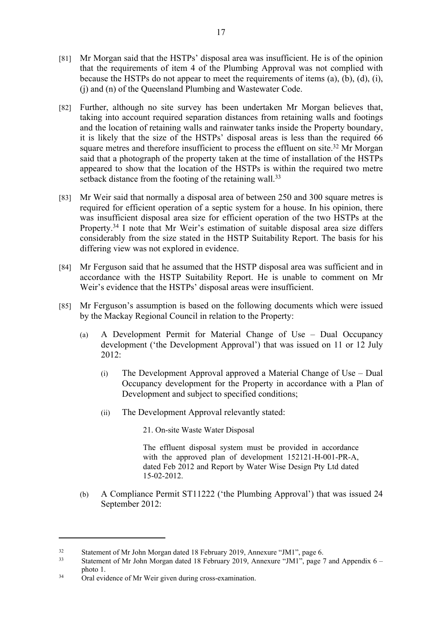- [81] Mr Morgan said that the HSTPs' disposal area was insufficient. He is of the opinion that the requirements of item 4 of the Plumbing Approval was not complied with because the HSTPs do not appear to meet the requirements of items (a), (b), (d), (i), (j) and (n) of the Queensland Plumbing and Wastewater Code.
- [82] Further, although no site survey has been undertaken Mr Morgan believes that, taking into account required separation distances from retaining walls and footings and the location of retaining walls and rainwater tanks inside the Property boundary, it is likely that the size of the HSTPs' disposal areas is less than the required 66 square metres and therefore insufficient to process the effluent on site.<sup>32</sup> Mr Morgan said that a photograph of the property taken at the time of installation of the HSTPs appeared to show that the location of the HSTPs is within the required two metre setback distance from the footing of the retaining wall.<sup>33</sup>
- [83] Mr Weir said that normally a disposal area of between 250 and 300 square metres is required for efficient operation of a septic system for a house. In his opinion, there was insufficient disposal area size for efficient operation of the two HSTPs at the Property.<sup>34</sup> I note that Mr Weir's estimation of suitable disposal area size differs considerably from the size stated in the HSTP Suitability Report. The basis for his differing view was not explored in evidence.
- [84] Mr Ferguson said that he assumed that the HSTP disposal area was sufficient and in accordance with the HSTP Suitability Report. He is unable to comment on Mr Weir's evidence that the HSTPs' disposal areas were insufficient.
- [85] Mr Ferguson's assumption is based on the following documents which were issued by the Mackay Regional Council in relation to the Property:
	- (a) A Development Permit for Material Change of Use Dual Occupancy development ('the Development Approval') that was issued on 11 or 12 July  $2012$ 
		- (i) The Development Approval approved a Material Change of Use Dual Occupancy development for the Property in accordance with a Plan of Development and subject to specified conditions;
		- (ii) The Development Approval relevantly stated:

21. On-site Waste Water Disposal

The effluent disposal system must be provided in accordance with the approved plan of development 152121-H-001-PR-A, dated Feb 2012 and Report by Water Wise Design Pty Ltd dated 15-02-2012.

(b) A Compliance Permit ST11222 ('the Plumbing Approval') that was issued 24 September 2012:

<sup>32</sup> Statement of Mr John Morgan dated 18 February 2019, Annexure "JM1", page 6.

Statement of Mr John Morgan dated 18 February 2019, Annexure "JM1", page 7 and Appendix  $6$ photo 1.

<sup>34</sup> Oral evidence of Mr Weir given during cross-examination.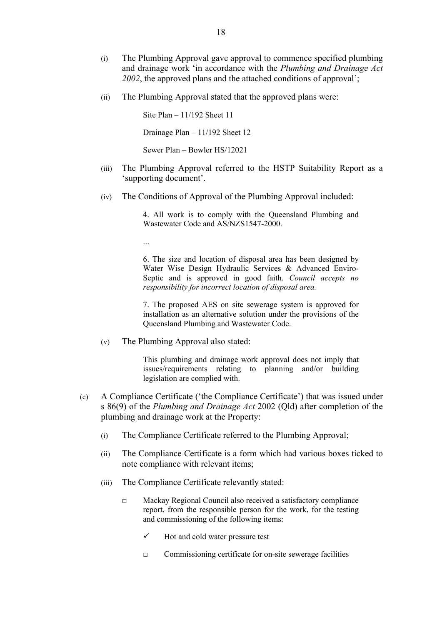- (i) The Plumbing Approval gave approval to commence specified plumbing and drainage work 'in accordance with the *Plumbing and Drainage Act*  2002, the approved plans and the attached conditions of approval':
- (ii) The Plumbing Approval stated that the approved plans were:

Site Plan – 11/192 Sheet 11 Drainage Plan – 11/192 Sheet 12 Sewer Plan – Bowler HS/12021

- (iii) The Plumbing Approval referred to the HSTP Suitability Report as a 'supporting document'.
- (iv) The Conditions of Approval of the Plumbing Approval included:

4. All work is to comply with the Queensland Plumbing and Wastewater Code and AS/NZS1547-2000.

6. The size and location of disposal area has been designed by Water Wise Design Hydraulic Services & Advanced Enviro-Septic and is approved in good faith. *Council accepts no* 

*responsibility for incorrect location of disposal area.*

7. The proposed AES on site sewerage system is approved for installation as an alternative solution under the provisions of the Queensland Plumbing and Wastewater Code.

(v) The Plumbing Approval also stated:

This plumbing and drainage work approval does not imply that issues/requirements relating to planning and/or building legislation are complied with.

- (c) A Compliance Certificate ('the Compliance Certificate') that was issued under s 86(9) of the *Plumbing and Drainage Act* 2002 (Qld) after completion of the plumbing and drainage work at the Property:
	- (i) The Compliance Certificate referred to the Plumbing Approval;
	- (ii) The Compliance Certificate is a form which had various boxes ticked to note compliance with relevant items;
	- (iii) The Compliance Certificate relevantly stated:
		- □ Mackay Regional Council also received a satisfactory compliance report, from the responsible person for the work, for the testing and commissioning of the following items:
			- $\checkmark$  Hot and cold water pressure test
			- $\Box$  Commissioning certificate for on-site sewerage facilities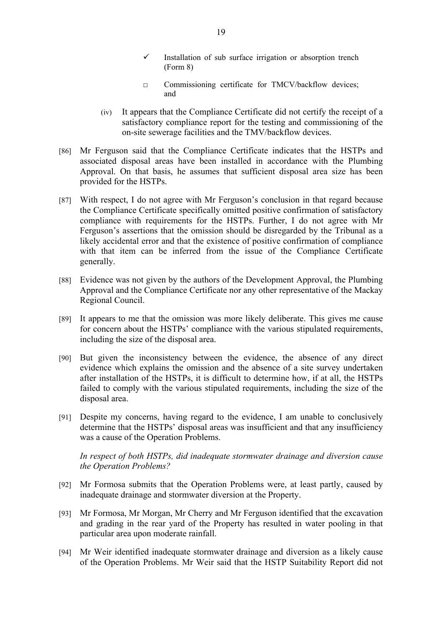- $\checkmark$  Installation of sub surface irrigation or absorption trench (Form 8)
- □ Commissioning certificate for TMCV/backflow devices; and
- (iv) It appears that the Compliance Certificate did not certify the receipt of a satisfactory compliance report for the testing and commissioning of the on-site sewerage facilities and the TMV/backflow devices.
- [86] Mr Ferguson said that the Compliance Certificate indicates that the HSTPs and associated disposal areas have been installed in accordance with the Plumbing Approval. On that basis, he assumes that sufficient disposal area size has been provided for the HSTPs.
- [87] With respect, I do not agree with Mr Ferguson's conclusion in that regard because the Compliance Certificate specifically omitted positive confirmation of satisfactory compliance with requirements for the HSTPs. Further, I do not agree with Mr Ferguson's assertions that the omission should be disregarded by the Tribunal as a likely accidental error and that the existence of positive confirmation of compliance with that item can be inferred from the issue of the Compliance Certificate generally.
- [88] Evidence was not given by the authors of the Development Approval, the Plumbing Approval and the Compliance Certificate nor any other representative of the Mackay Regional Council.
- [89] It appears to me that the omission was more likely deliberate. This gives me cause for concern about the HSTPs' compliance with the various stipulated requirements, including the size of the disposal area.
- [90] But given the inconsistency between the evidence, the absence of any direct evidence which explains the omission and the absence of a site survey undertaken after installation of the HSTPs, it is difficult to determine how, if at all, the HSTPs failed to comply with the various stipulated requirements, including the size of the disposal area.
- [91] Despite my concerns, having regard to the evidence, I am unable to conclusively determine that the HSTPs' disposal areas was insufficient and that any insufficiency was a cause of the Operation Problems.

*In respect of both HSTPs, did inadequate stormwater drainage and diversion cause the Operation Problems?*

- [92] Mr Formosa submits that the Operation Problems were, at least partly, caused by inadequate drainage and stormwater diversion at the Property.
- [93] Mr Formosa, Mr Morgan, Mr Cherry and Mr Ferguson identified that the excavation and grading in the rear yard of the Property has resulted in water pooling in that particular area upon moderate rainfall.
- [94] Mr Weir identified inadequate stormwater drainage and diversion as a likely cause of the Operation Problems. Mr Weir said that the HSTP Suitability Report did not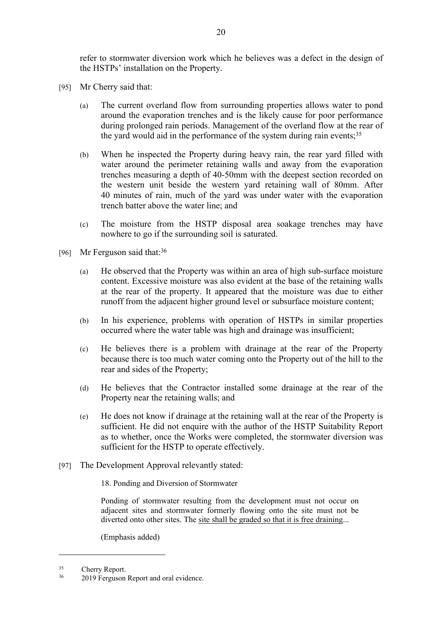refer to stormwater diversion work which he believes was a defect in the design of the HSTPs' installation on the Property.

- [95] Mr Cherry said that:
	- (a) The current overland flow from surrounding properties allows water to pond around the evaporation trenches and is the likely cause for poor performance during prolonged rain periods. Management of the overland flow at the rear of the yard would aid in the performance of the system during rain events:  $35$
	- (b) When he inspected the Property during heavy rain, the rear yard filled with water around the perimeter retaining walls and away from the evaporation trenches measuring a depth of 40-50mm with the deepest section recorded on the western unit beside the western yard retaining wall of 80mm. After 40 minutes of rain, much of the yard was under water with the evaporation trench batter above the water line; and
	- (c) The moisture from the HSTP disposal area soakage trenches may have nowhere to go if the surrounding soil is saturated.
- [96] Mr Ferguson said that:<sup>36</sup>
	- (a) He observed that the Property was within an area of high sub-surface moisture content. Excessive moisture was also evident at the base of the retaining walls at the rear of the property. It appeared that the moisture was due to either runoff from the adjacent higher ground level or subsurface moisture content;
	- (b) In his experience, problems with operation of HSTPs in similar properties occurred where the water table was high and drainage was insufficient;
	- (c) He believes there is a problem with drainage at the rear of the Property because there is too much water coming onto the Property out of the hill to the rear and sides of the Property;
	- (d) He believes that the Contractor installed some drainage at the rear of the Property near the retaining walls; and
	- (e) He does not know if drainage at the retaining wall at the rear of the Property is sufficient. He did not enquire with the author of the HSTP Suitability Report as to whether, once the Works were completed, the stormwater diversion was sufficient for the HSTP to operate effectively.
- [97] The Development Approval relevantly stated:

18. Ponding and Diversion of Stormwater

Ponding of stormwater resulting from the development must not occur on adjacent sites and stormwater formerly flowing onto the site must not be diverted onto other sites. The site shall be graded so that it is free draining...

(Emphasis added)

<sup>&</sup>lt;sup>35</sup> Cherry Report.

<sup>&</sup>lt;sup>36</sup> 2019 Ferguson Report and oral evidence.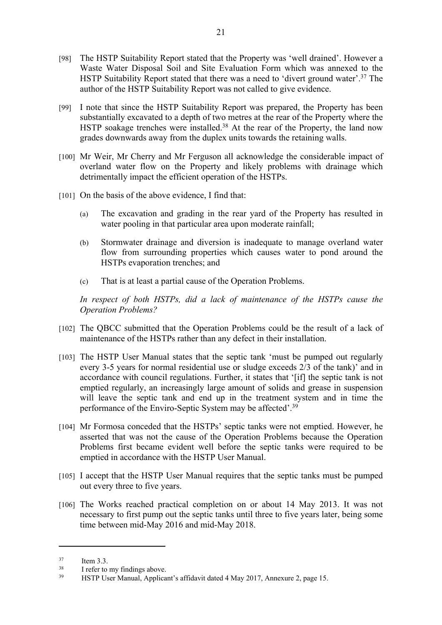- [98] The HSTP Suitability Report stated that the Property was 'well drained'. However a Waste Water Disposal Soil and Site Evaluation Form which was annexed to the HSTP Suitability Report stated that there was a need to 'divert ground water'.<sup>37</sup> The author of the HSTP Suitability Report was not called to give evidence.
- [99] I note that since the HSTP Suitability Report was prepared, the Property has been substantially excavated to a depth of two metres at the rear of the Property where the HSTP soakage trenches were installed.<sup>38</sup> At the rear of the Property, the land now grades downwards away from the duplex units towards the retaining walls.
- [100] Mr Weir, Mr Cherry and Mr Ferguson all acknowledge the considerable impact of overland water flow on the Property and likely problems with drainage which detrimentally impact the efficient operation of the HSTPs.
- [101] On the basis of the above evidence, I find that:
	- (a) The excavation and grading in the rear yard of the Property has resulted in water pooling in that particular area upon moderate rainfall:
	- (b) Stormwater drainage and diversion is inadequate to manage overland water flow from surrounding properties which causes water to pond around the HSTPs evaporation trenches; and
	- (c) That is at least a partial cause of the Operation Problems.

In respect of both HSTPs, did a lack of maintenance of the HSTPs cause the *Operation Problems?*

- [102] The QBCC submitted that the Operation Problems could be the result of a lack of maintenance of the HSTPs rather than any defect in their installation.
- [103] The HSTP User Manual states that the septic tank 'must be pumped out regularly every 3-5 years for normal residential use or sludge exceeds 2/3 of the tank)' and in accordance with council regulations. Further, it states that '[if] the septic tank is not emptied regularly, an increasingly large amount of solids and grease in suspension will leave the septic tank and end up in the treatment system and in time the performance of the Enviro-Septic System may be affected'.<sup>39</sup>
- [104] Mr Formosa conceded that the HSTPs' septic tanks were not emptied. However, he asserted that was not the cause of the Operation Problems because the Operation Problems first became evident well before the septic tanks were required to be emptied in accordance with the HSTP User Manual.
- [105] I accept that the HSTP User Manual requires that the septic tanks must be pumped out every three to five years.
- [106] The Works reached practical completion on or about 14 May 2013. It was not necessary to first pump out the septic tanks until three to five years later, being some time between mid-May 2016 and mid-May 2018.

<sup>37</sup> Item 3.3.

<sup>&</sup>lt;sup>38</sup> I refer to my findings above.

<sup>39</sup> HSTP User Manual, Applicant's affidavit dated 4 May 2017, Annexure 2, page 15.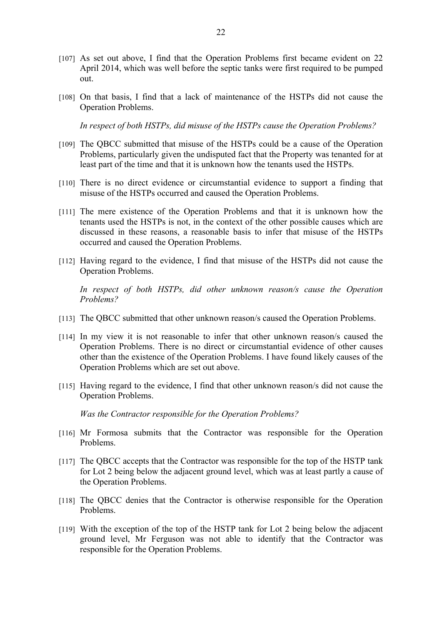- [107] As set out above, I find that the Operation Problems first became evident on 22 April 2014, which was well before the septic tanks were first required to be pumped out.
- [108] On that basis, I find that a lack of maintenance of the HSTPs did not cause the Operation Problems.

*In respect of both HSTPs, did misuse of the HSTPs cause the Operation Problems?*

- [109] The QBCC submitted that misuse of the HSTPs could be a cause of the Operation Problems, particularly given the undisputed fact that the Property was tenanted for at least part of the time and that it is unknown how the tenants used the HSTPs.
- [110] There is no direct evidence or circumstantial evidence to support a finding that misuse of the HSTPs occurred and caused the Operation Problems.
- [111] The mere existence of the Operation Problems and that it is unknown how the tenants used the HSTPs is not, in the context of the other possible causes which are discussed in these reasons, a reasonable basis to infer that misuse of the HSTPs occurred and caused the Operation Problems.
- [112] Having regard to the evidence, I find that misuse of the HSTPs did not cause the Operation Problems.

*In respect of both HSTPs, did other unknown reason/s cause the Operation Problems?*

- [113] The QBCC submitted that other unknown reason/s caused the Operation Problems.
- [114] In my view it is not reasonable to infer that other unknown reason/s caused the Operation Problems. There is no direct or circumstantial evidence of other causes other than the existence of the Operation Problems. I have found likely causes of the Operation Problems which are set out above.
- [115] Having regard to the evidence, I find that other unknown reason/s did not cause the Operation Problems.

*Was the Contractor responsible for the Operation Problems?*

- [116] Mr Formosa submits that the Contractor was responsible for the Operation Problems.
- [117] The QBCC accepts that the Contractor was responsible for the top of the HSTP tank for Lot 2 being below the adjacent ground level, which was at least partly a cause of the Operation Problems.
- [118] The QBCC denies that the Contractor is otherwise responsible for the Operation Problems.
- [119] With the exception of the top of the HSTP tank for Lot 2 being below the adjacent ground level, Mr Ferguson was not able to identify that the Contractor was responsible for the Operation Problems.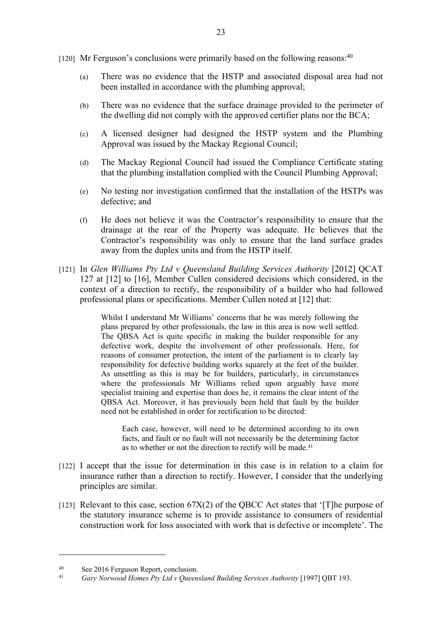- [120] Mr Ferguson's conclusions were primarily based on the following reasons: $40$ 
	- (a) There was no evidence that the HSTP and associated disposal area had not been installed in accordance with the plumbing approval;
	- (b) There was no evidence that the surface drainage provided to the perimeter of the dwelling did not comply with the approved certifier plans nor the BCA;
	- (c) A licensed designer had designed the HSTP system and the Plumbing Approval was issued by the Mackay Regional Council;
	- (d) The Mackay Regional Council had issued the Compliance Certificate stating that the plumbing installation complied with the Council Plumbing Approval;
	- (e) No testing nor investigation confirmed that the installation of the HSTPs was defective; and
	- (f) He does not believe it was the Contractor's responsibility to ensure that the drainage at the rear of the Property was adequate. He believes that the Contractor's responsibility was only to ensure that the land surface grades away from the duplex units and from the HSTP itself.
- [121] In *Glen Williams Pty Ltd v Queensland Building Services Authority* [2012] QCAT 127 at [12] to [16], Member Cullen considered decisions which considered, in the context of a direction to rectify, the responsibility of a builder who had followed professional plans or specifications. Member Cullen noted at [12] that:

Whilst I understand Mr Williams' concerns that he was merely following the plans prepared by other professionals, the law in this area is now well settled. The QBSA Act is quite specific in making the builder responsible for any defective work, despite the involvement of other professionals. Here, for reasons of consumer protection, the intent of the parliament is to clearly lay responsibility for defective building works squarely at the feet of the builder. As unsettling as this is may be for builders, particularly, in circumstances where the professionals Mr Williams relied upon arguably have more specialist training and expertise than does he, it remains the clear intent of the QBSA Act. Moreover, it has previously been held that fault by the builder need not be established in order for rectification to be directed:

Each case, however, will need to be determined according to its own facts, and fault or no fault will not necessarily be the determining factor as to whether or not the direction to rectify will be made.<sup>41</sup>

- [122] I accept that the issue for determination in this case is in relation to a claim for insurance rather than a direction to rectify. However, I consider that the underlying principles are similar.
- [123] Relevant to this case, section  $67X(2)$  of the QBCC Act states that '[T]he purpose of the statutory insurance scheme is to provide assistance to consumers of residential construction work for loss associated with work that is defective or incomplete'. The

<sup>40</sup> See 2016 Ferguson Report, conclusion.

<sup>41</sup> *Gary Norwood Homes Pty Ltd v Queensland Building Services Authority* [1997] QBT 193.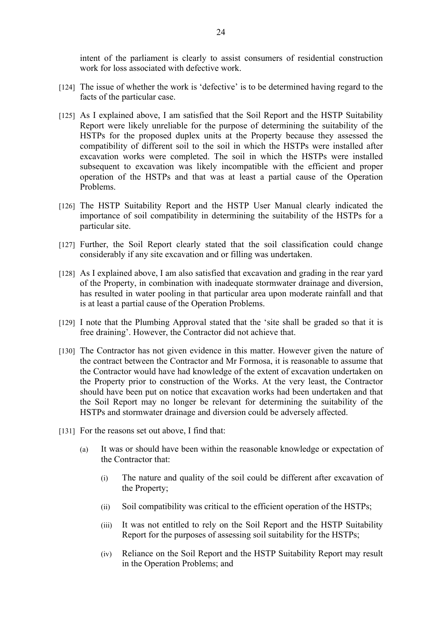intent of the parliament is clearly to assist consumers of residential construction work for loss associated with defective work.

- [124] The issue of whether the work is 'defective' is to be determined having regard to the facts of the particular case.
- [125] As I explained above, I am satisfied that the Soil Report and the HSTP Suitability Report were likely unreliable for the purpose of determining the suitability of the HSTPs for the proposed duplex units at the Property because they assessed the compatibility of different soil to the soil in which the HSTPs were installed after excavation works were completed. The soil in which the HSTPs were installed subsequent to excavation was likely incompatible with the efficient and proper operation of the HSTPs and that was at least a partial cause of the Operation Problems.
- [126] The HSTP Suitability Report and the HSTP User Manual clearly indicated the importance of soil compatibility in determining the suitability of the HSTPs for a particular site.
- [127] Further, the Soil Report clearly stated that the soil classification could change considerably if any site excavation and or filling was undertaken.
- [128] As I explained above, I am also satisfied that excavation and grading in the rear yard of the Property, in combination with inadequate stormwater drainage and diversion, has resulted in water pooling in that particular area upon moderate rainfall and that is at least a partial cause of the Operation Problems.
- [129] I note that the Plumbing Approval stated that the 'site shall be graded so that it is free draining'. However, the Contractor did not achieve that.
- [130] The Contractor has not given evidence in this matter. However given the nature of the contract between the Contractor and Mr Formosa, it is reasonable to assume that the Contractor would have had knowledge of the extent of excavation undertaken on the Property prior to construction of the Works. At the very least, the Contractor should have been put on notice that excavation works had been undertaken and that the Soil Report may no longer be relevant for determining the suitability of the HSTPs and stormwater drainage and diversion could be adversely affected.
- [131] For the reasons set out above, I find that:
	- (a) It was or should have been within the reasonable knowledge or expectation of the Contractor that:
		- (i) The nature and quality of the soil could be different after excavation of the Property;
		- (ii) Soil compatibility was critical to the efficient operation of the HSTPs;
		- (iii) It was not entitled to rely on the Soil Report and the HSTP Suitability Report for the purposes of assessing soil suitability for the HSTPs;
		- (iv) Reliance on the Soil Report and the HSTP Suitability Report may result in the Operation Problems; and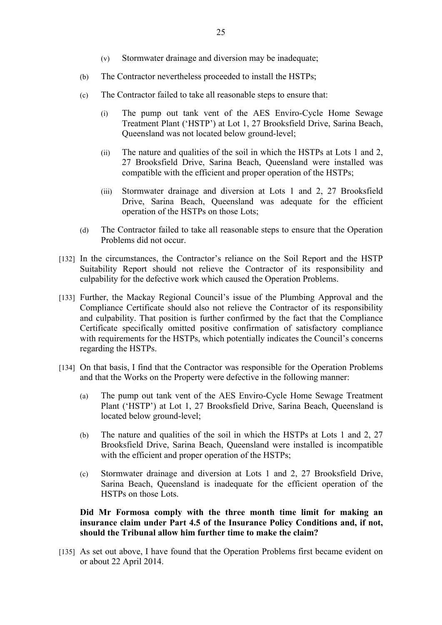- (v) Stormwater drainage and diversion may be inadequate;
- (b) The Contractor nevertheless proceeded to install the HSTPs;
- (c) The Contractor failed to take all reasonable steps to ensure that:
	- (i) The pump out tank vent of the AES Enviro-Cycle Home Sewage Treatment Plant ('HSTP') at Lot 1, 27 Brooksfield Drive, Sarina Beach, Queensland was not located below ground-level;
	- (ii) The nature and qualities of the soil in which the HSTPs at Lots 1 and 2, 27 Brooksfield Drive, Sarina Beach, Queensland were installed was compatible with the efficient and proper operation of the HSTPs;
	- (iii) Stormwater drainage and diversion at Lots 1 and 2, 27 Brooksfield Drive, Sarina Beach, Queensland was adequate for the efficient operation of the HSTPs on those Lots;
- (d) The Contractor failed to take all reasonable steps to ensure that the Operation Problems did not occur.
- [132] In the circumstances, the Contractor's reliance on the Soil Report and the HSTP Suitability Report should not relieve the Contractor of its responsibility and culpability for the defective work which caused the Operation Problems.
- [133] Further, the Mackay Regional Council's issue of the Plumbing Approval and the Compliance Certificate should also not relieve the Contractor of its responsibility and culpability. That position is further confirmed by the fact that the Compliance Certificate specifically omitted positive confirmation of satisfactory compliance with requirements for the HSTPs, which potentially indicates the Council's concerns regarding the HSTPs.
- [134] On that basis, I find that the Contractor was responsible for the Operation Problems and that the Works on the Property were defective in the following manner:
	- (a) The pump out tank vent of the AES Enviro-Cycle Home Sewage Treatment Plant ('HSTP') at Lot 1, 27 Brooksfield Drive, Sarina Beach, Queensland is located below ground-level;
	- (b) The nature and qualities of the soil in which the HSTPs at Lots 1 and 2, 27 Brooksfield Drive, Sarina Beach, Queensland were installed is incompatible with the efficient and proper operation of the HSTPs;
	- (c) Stormwater drainage and diversion at Lots 1 and 2, 27 Brooksfield Drive, Sarina Beach, Queensland is inadequate for the efficient operation of the HSTPs on those Lots.

**Did Mr Formosa comply with the three month time limit for making an insurance claim under Part 4.5 of the Insurance Policy Conditions and, if not, should the Tribunal allow him further time to make the claim?**

[135] As set out above, I have found that the Operation Problems first became evident on or about 22 April 2014.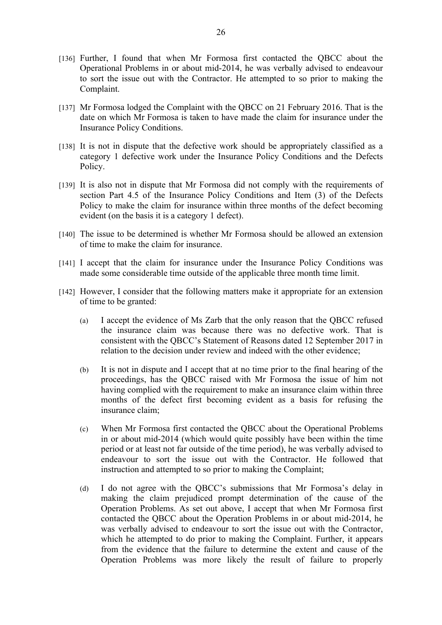- [136] Further, I found that when Mr Formosa first contacted the QBCC about the Operational Problems in or about mid-2014, he was verbally advised to endeavour to sort the issue out with the Contractor. He attempted to so prior to making the Complaint.
- [137] Mr Formosa lodged the Complaint with the QBCC on 21 February 2016. That is the date on which Mr Formosa is taken to have made the claim for insurance under the Insurance Policy Conditions.
- [138] It is not in dispute that the defective work should be appropriately classified as a category 1 defective work under the Insurance Policy Conditions and the Defects Policy.
- [139] It is also not in dispute that Mr Formosa did not comply with the requirements of section Part 4.5 of the Insurance Policy Conditions and Item (3) of the Defects Policy to make the claim for insurance within three months of the defect becoming evident (on the basis it is a category 1 defect).
- [140] The issue to be determined is whether Mr Formosa should be allowed an extension of time to make the claim for insurance.
- [141] I accept that the claim for insurance under the Insurance Policy Conditions was made some considerable time outside of the applicable three month time limit.
- [142] However, I consider that the following matters make it appropriate for an extension of time to be granted:
	- (a) I accept the evidence of Ms Zarb that the only reason that the QBCC refused the insurance claim was because there was no defective work. That is consistent with the QBCC's Statement of Reasons dated 12 September 2017 in relation to the decision under review and indeed with the other evidence;
	- (b) It is not in dispute and I accept that at no time prior to the final hearing of the proceedings, has the QBCC raised with Mr Formosa the issue of him not having complied with the requirement to make an insurance claim within three months of the defect first becoming evident as a basis for refusing the insurance claim;
	- (c) When Mr Formosa first contacted the QBCC about the Operational Problems in or about mid-2014 (which would quite possibly have been within the time period or at least not far outside of the time period), he was verbally advised to endeavour to sort the issue out with the Contractor. He followed that instruction and attempted to so prior to making the Complaint;
	- (d) I do not agree with the QBCC's submissions that Mr Formosa's delay in making the claim prejudiced prompt determination of the cause of the Operation Problems. As set out above, I accept that when Mr Formosa first contacted the QBCC about the Operation Problems in or about mid-2014, he was verbally advised to endeavour to sort the issue out with the Contractor, which he attempted to do prior to making the Complaint. Further, it appears from the evidence that the failure to determine the extent and cause of the Operation Problems was more likely the result of failure to properly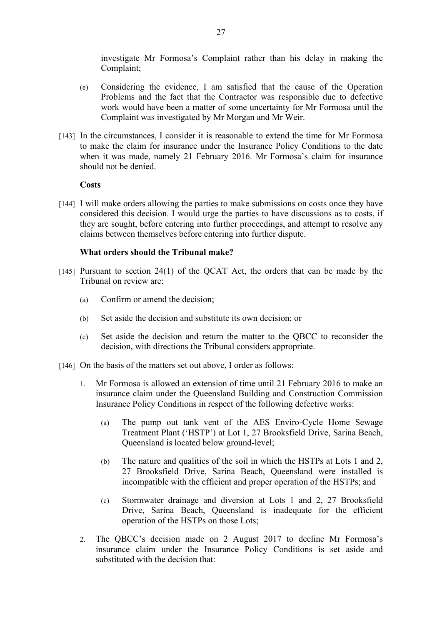investigate Mr Formosa's Complaint rather than his delay in making the Complaint;

- (e) Considering the evidence, I am satisfied that the cause of the Operation Problems and the fact that the Contractor was responsible due to defective work would have been a matter of some uncertainty for Mr Formosa until the Complaint was investigated by Mr Morgan and Mr Weir.
- [143] In the circumstances, I consider it is reasonable to extend the time for Mr Formosa to make the claim for insurance under the Insurance Policy Conditions to the date when it was made, namely 21 February 2016. Mr Formosa's claim for insurance should not be denied.

## **Costs**

[144] I will make orders allowing the parties to make submissions on costs once they have considered this decision. I would urge the parties to have discussions as to costs, if they are sought, before entering into further proceedings, and attempt to resolve any claims between themselves before entering into further dispute.

## **What orders should the Tribunal make?**

- [145] Pursuant to section  $24(1)$  of the QCAT Act, the orders that can be made by the Tribunal on review are:
	- (a) Confirm or amend the decision;
	- (b) Set aside the decision and substitute its own decision; or
	- (c) Set aside the decision and return the matter to the QBCC to reconsider the decision, with directions the Tribunal considers appropriate.

[146] On the basis of the matters set out above, I order as follows:

- 1. Mr Formosa is allowed an extension of time until 21 February 2016 to make an insurance claim under the Queensland Building and Construction Commission Insurance Policy Conditions in respect of the following defective works:
	- (a) The pump out tank vent of the AES Enviro-Cycle Home Sewage Treatment Plant ('HSTP') at Lot 1, 27 Brooksfield Drive, Sarina Beach, Queensland is located below ground-level;
	- (b) The nature and qualities of the soil in which the HSTPs at Lots 1 and 2, 27 Brooksfield Drive, Sarina Beach, Queensland were installed is incompatible with the efficient and proper operation of the HSTPs; and
	- (c) Stormwater drainage and diversion at Lots 1 and 2, 27 Brooksfield Drive, Sarina Beach, Queensland is inadequate for the efficient operation of the HSTPs on those Lots;
- 2. The QBCC's decision made on 2 August 2017 to decline Mr Formosa's insurance claim under the Insurance Policy Conditions is set aside and substituted with the decision that: